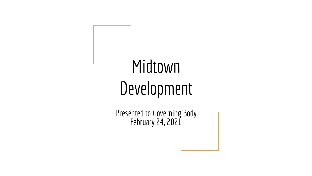# Midtown Development

Presented to Governing Body February 24, 2021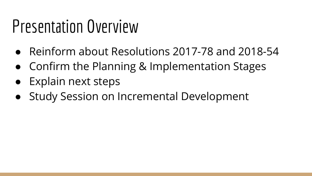## Presentation Overview

- Reinform about Resolutions 2017-78 and 2018-54
- Confirm the Planning & Implementation Stages
- Explain next steps
- Study Session on Incremental Development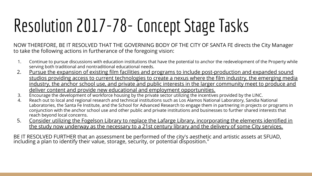# Resolution 2017-78- Concept Stage Tasks

NOW THEREFORE, BE IT RESOLVED THAT THE GOVERNING BODY OF THE CITY OF SANTA FE directs the City Manager to take the following actions in furtherance of the foregoing vision:

- 1. Continue to pursue discussions with education institutions that have the potential to anchor the redevelopment of the Property while serving both traditional and nontraditional educational needs.
- 2. Pursue the expansion of existing film facilities and programs to include post-production and expanded sound studios providing access to current technologies to create a nexus where the film industry, the emerging media industry, the anchor school use, and private and public interests in the larger community meet to produce and deliver content and provide new educational and employment opportunities.
- 3. Encourage the development of workforce housing by the private sector utilizing the incentives provided by the LINC.
- 4. Reach out to local and regional research and technical institutions such as Los Alamos National Laboratory, Sandia National Laboratories, the Santa Fe Institute, and the School for Advanced Research to engage them in partnering in projects or programs in conjunction with the anchor school use and other public and private institutions and businesses to further shared interests that reach beyond local concerns.
- 5. Consider utilizing the Fogelson Library to replace the Lafarge Library, incorporating the elements identified in the study now underway as the necessary to a 21st century library and the delivery of some City services.

BE IT RESOLVED FURTHER that an assessment be performed of the city's aesthetic and artistic assets at SFUAD, including a plan to identify their value, storage, security, or potential disposition."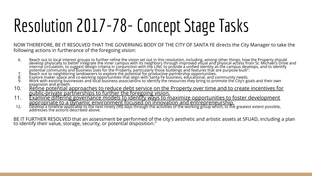# Resolution 2017-78- Concept Stage Tasks

NOW THEREFORE, BE IT RESOLVED THAT THE GOVERNING BODY OF THE CITY OF SANTA FE directs the City Manager to take the following actions in furtherance of the foregoing vision:

- 6. Reach out to local interest groups to further refine the vision set out in this resolution, including, among other things, how the Property should develop physically to better integrate the inner campus with its neighbors through improved visual and physical access from St. Michael's Drive and internal circulation, to suggest design criteria in conjunction with the LINC to provide a unified identity as the campus develops, and to identify potential community and business uses for the Property, particularly those buildings and features that are purpose-built".
- 7. Reach out to neighboring landowners to explore the potential for productive partnership opportunities.
- 8. Explore maker space and co-working opportunities that align with Santa Fe business, educational, and community needs.
- 9. Work with existing businesses and local business associations to identify the resources they bring to promote the City's goals and their own expansion and growth.
- 10. Refine potential approaches to reduce debt service on the Property over time and to create incentives for public-private partnerships to further the foregoing vision.
- 11. Examine differing governance models to identify ways to maximize opportunities to foster development appropriate to a dynamic environment focused on innovation and entrepreneurship.
- 12. Develop a timeline applicable to the next ninety (90) days through the activities of the working group which, to the greatest extent possible, addresses the actions described above.

BE IT FURTHER RESOLVED that an assessment be performed of the city's aesthetic and artistic assets at SFUAD, including a plan to identify their value, storage, security, or potential disposition."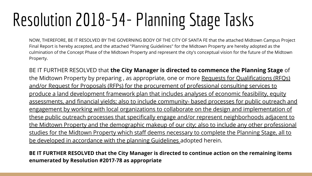# Resolution 2018-54- Planning Stage Tasks

NOW, THEREFORE, BE IT RESOLVED BY THE GOVERNING BODY OF THE CITY OF SANTA FE that the attached Midtown Campus Project Final Report is hereby accepted, and the attached "Planning Guidelines" for the Midtown Property are hereby adopted as the culmination of the Concept Phase of the Midtown Property and represent the city's conceptual vision for the future of the Midtown Property.

BE IT FURTHER RESOLVED that **the City Manager is directed to commence the Planning Stage** of the Midtown Property by preparing , as appropriate, one or more Requests for Qualifications (RFQs) and/or Request for Proposals (RFPs) for the procurement of professional consulting services to produce a land development framework plan that includes analyses of economic feasibility, equity assessments, and financial yields; also to include community- based processes for public outreach and engagement by working with local organizations to collaborate on the design and implementation of these public outreach processes that specifically engage and/or represent neighborhoods adjacent to the Midtown Property and the demographic makeup of our city; also to include any other professional studies for the Midtown Property which staff deems necessary to complete the Planning Stage, all to be developed in accordance with the planning Guidelines adopted herein.

**BE IT FURTHER RESOLVED that the City Manager is directed to continue action on the remaining items enumerated by Resolution #2017-78 as appropriate**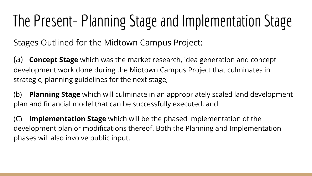## The Present- Planning Stage and Implementation Stage

Stages Outlined for the Midtown Campus Project:

(a) **Concept Stage** which was the market research, idea generation and concept development work done during the Midtown Campus Project that culminates in strategic, planning guidelines for the next stage,

(b) **Planning Stage** which will culminate in an appropriately scaled land development plan and financial model that can be successfully executed, and

(C) **Implementation Stage** which will be the phased implementation of the development plan or modifications thereof. Both the Planning and Implementation phases will also involve public input.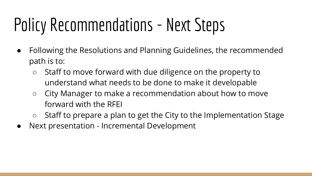# Policy Recommendations - Next Steps

- Following the Resolutions and Planning Guidelines, the recommended path is to:
	- Staff to move forward with due diligence on the property to understand what needs to be done to make it developable
	- City Manager to make a recommendation about how to move forward with the RFEI
	- Staff to prepare a plan to get the City to the Implementation Stage
- Next presentation Incremental Development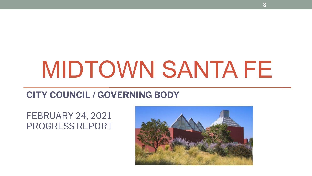# MIDTOWN SANTA FE

### **CITY COUNCIL / GOVERNING BODY**

### FEBRUARY 24, 2021 PROGRESS REPORT

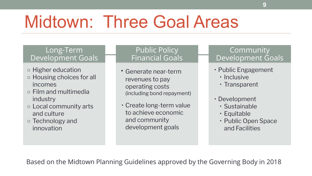## Midtown: Three Goal Areas

#### Long-Term Development Goals

- Higher education
- Housing choices for all incomes
- Film and multimedia industry
- Local community arts and culture
- Technology and innovation

#### Public Policy Financial Goals

- Generate near-term revenues to pay operating costs (including bond repayment)
- Create long-term value to achieve economic and community development goals

### Community Development Goals

- Public Engagement
	- Inclusive
	- Transparent
- Development
	- Sustainable
	- Equitable
	- Public Open Space and Facilities

Based on the Midtown Planning Guidelines approved by the Governing Body in 2018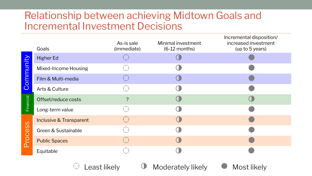### Relationship between achieving Midtown Goals and Incremental Investment Decisions

|           | Goals                              | As-is sale<br>(immediate) | Minimal investment<br>$(6-12$ months) | incremental disposition/<br>increased investment<br>(up to 5 years) |
|-----------|------------------------------------|---------------------------|---------------------------------------|---------------------------------------------------------------------|
| Community | <b>Higher Ed</b>                   |                           |                                       |                                                                     |
|           | Mixed-Income Housing               |                           |                                       |                                                                     |
|           | Film & Multi-media                 |                           |                                       |                                                                     |
|           | Arts & Culture                     |                           |                                       |                                                                     |
| Financial | Offset/reduce costs                | $\overline{?}$            |                                       |                                                                     |
|           | Long-term value                    |                           |                                       |                                                                     |
| Process   | <b>Inclusive &amp; Transparent</b> | ∪                         |                                       |                                                                     |
|           | Green & Sustainable                |                           |                                       |                                                                     |
|           | <b>Public Spaces</b>               | $(\ )$                    |                                       |                                                                     |
|           | Equitable                          |                           |                                       |                                                                     |
|           |                                    |                           |                                       |                                                                     |

Least likely **Moderately likely** Most likely



Incremental disposition/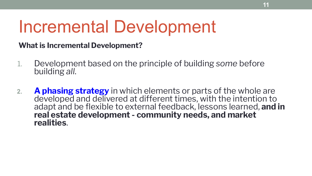### Incremental Development

### **What is Incremental Development?**

- 1. Development based on the principle of building *some* before building *all*.
- **2. A phasing strategy** in which elements or parts of the whole are developed and delivered at different times, with the intention to adapt and be flexible to external feedback, lessons learned, **and in real estate development - community needs, and market realities**.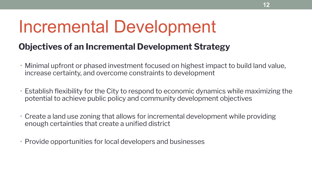### Incremental Development

### **Objectives of an Incremental Development Strategy**

- Minimal upfront or phased investment focused on highest impact to build land value, increase certainty, and overcome constraints to development
- Establish flexibility for the City to respond to economic dynamics while maximizing the potential to achieve public policy and community development objectives
- Create a land use zoning that allows for incremental development while providing enough certainties that create a unified district
- Provide opportunities for local developers and businesses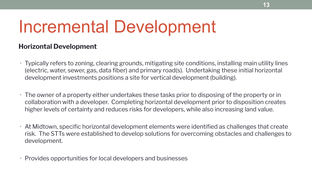### Incremental Development

#### **Horizontal Development**

- Typically refers to zoning, clearing grounds, mitigating site conditions, installing main utility lines (electric, water, sewer, gas, data fiber) and primary road(s). Undertaking these initial horizontal development investments positions a site for vertical development (building).
- The owner of a property either undertakes these tasks prior to disposing of the property or in collaboration with a developer. Completing horizontal development prior to disposition creates higher levels of certainty and reduces risks for developers, while also increasing land value.
- At Midtown, specific horizontal development elements were identified as challenges that create risk. The STTs were established to develop solutions for overcoming obstacles and challenges to development.
- Provides opportunities for local developers and businesses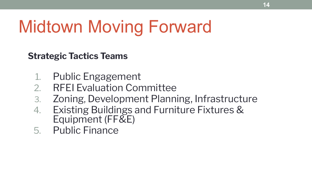**Strategic Tactics Teams**

- 1. Public Engagement
- 2. RFEI Evaluation Committee
- 3. Zoning, Development Planning, Infrastructure
- 4. Existing Buildings and Furniture Fixtures & Equipment (FF&E)
- 5. Public Finance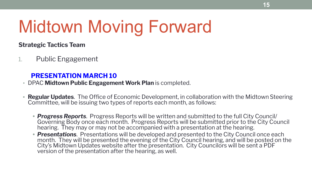#### **Strategic Tactics Team**

1. Public Engagement

#### **PRESENTATION MARCH 10**

- DPAC **Midtown Public Engagement Work Plan** is completed.
- **• Regular Updates**. The Office of Economic Development, in collaboration with the Midtown Steering Committee, will be issuing two types of reports each month, as follows:
	- *• Progress Reports*. Progress Reports will be written and submitted to the full City Council/ Governing Body once each month. Progress Reports will be submitted prior to the City Council hearing. They may or may not be accompanied with a presentation at the hearing.
	- *• Presentations*. Presentations will be developed and presented to the City Council once each month. They will be presented the evening of the City Council hearing, and will be posted on the City's Midtown Updates website after the presentation. City Councilors will be sent a PDF version of the presentation after the hearing, as well.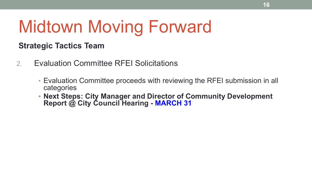### **Strategic Tactics Team**

- 2. Evaluation Committee RFEI Solicitations
	- Evaluation Committee proceeds with reviewing the RFEI submission in all categories
	- **• Next Steps: City Manager and Director of Community Development Report @ City Council Hearing - MARCH 31**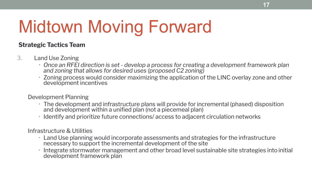#### **Strategic Tactics Team**

#### 3. Land Use Zoning

- *• Once an RFEI direction is set develop a process for creating a development framework plan and zoning that allows for desired uses (proposed C2 zoning)*
- Zoning process would consider maximizing the application of the LINC overlay zone and other development incentives

#### Development Planning

- The development and infrastructure plans will provide for incremental (phased) disposition and development within a unified plan (not a piecemeal plan)
- Identify and prioritize future connections/ access to adjacent circulation networks

Infrastructure & Utilities

- Land Use planning would incorporate assessments and strategies for the infrastructure necessary to support the incremental development of the site
- Integrate stormwater management and other broad level sustainable site strategies into initial development framework plan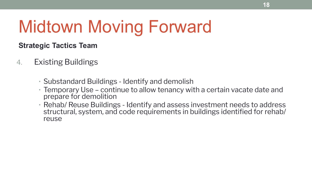### **Strategic Tactics Team**

- 4. Existing Buildings
	- Substandard Buildings Identify and demolish
	- Temporary Use continue to allow tenancy with a certain vacate date and prepare for demolition
	- Rehab/ Reuse Buildings Identify and assess investment needs to address structural, system, and code requirements in buildings identified for rehab/ reuse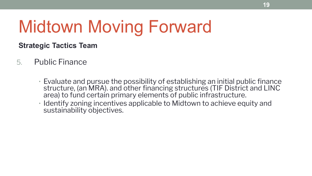### **Strategic Tactics Team**

- 5. Public Finance
	- Evaluate and pursue the possibility of establishing an initial public finance structure, (an MRA). and other financing structures (TIF District and LINC area) to fund certain primary elements of public infrastructure.
	- Identify zoning incentives applicable to Midtown to achieve equity and sustainability objectives.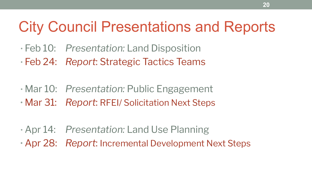### City Council Presentations and Reports

- Feb 10: *Presentation:* Land Disposition
- Feb 24: *Report*: Strategic Tactics Teams
- Mar 10: *Presentation:* Public Engagement
- Mar 31: *Report*: RFEI/ Solicitation Next Steps
- Apr 14: *Presentation:* Land Use Planning
- Apr 28: *Report*: Incremental Development Next Steps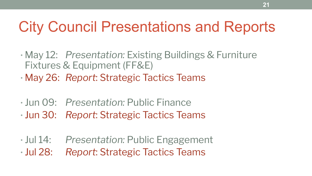### City Council Presentations and Reports

- May 12: *Presentation:* Existing Buildings & Furniture Fixtures & Equipment (FF&E)
- May 26: *Report*: Strategic Tactics Teams
- Jun 09: *Presentation:* Public Finance
- Jun 30: *Report*: Strategic Tactics Teams
- Jul 14: *Presentation:* Public Engagement • Jul 28: *Report*: Strategic Tactics Teams